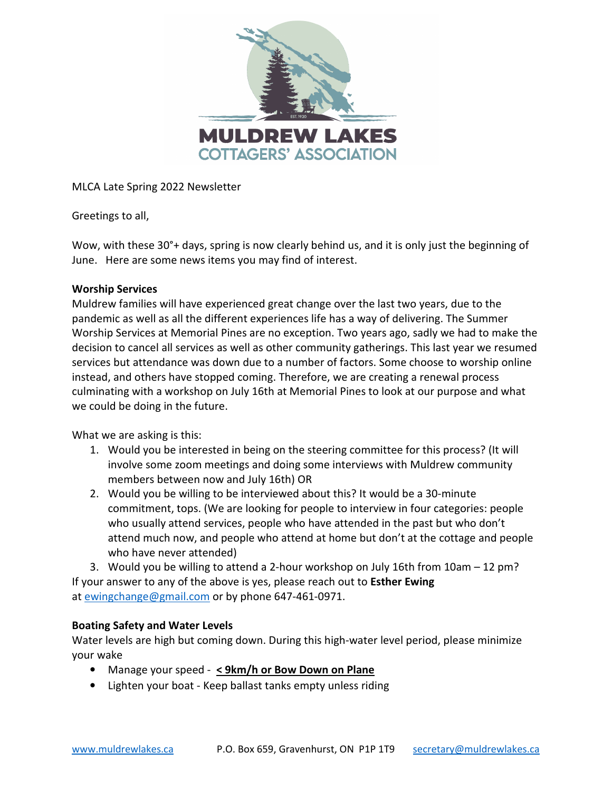

MLCA Late Spring 2022 Newsletter

Greetings to all,

Wow, with these 30°+ days, spring is now clearly behind us, and it is only just the beginning of June. Here are some news items you may find of interest.

# Worship Services

Muldrew families will have experienced great change over the last two years, due to the pandemic as well as all the different experiences life has a way of delivering. The Summer Worship Services at Memorial Pines are no exception. Two years ago, sadly we had to make the decision to cancel all services as well as other community gatherings. This last year we resumed services but attendance was down due to a number of factors. Some choose to worship online instead, and others have stopped coming. Therefore, we are creating a renewal process culminating with a workshop on July 16th at Memorial Pines to look at our purpose and what we could be doing in the future.

What we are asking is this:

- 1. Would you be interested in being on the steering committee for this process? (It will involve some zoom meetings and doing some interviews with Muldrew community members between now and July 16th) OR
- 2. Would you be willing to be interviewed about this? It would be a 30-minute commitment, tops. (We are looking for people to interview in four categories: people who usually attend services, people who have attended in the past but who don't attend much now, and people who attend at home but don't at the cottage and people who have never attended)

3. Would you be willing to attend a 2-hour workshop on July 16th from 10am – 12 pm? If your answer to any of the above is yes, please reach out to Esther Ewing at ewingchange@gmail.com or by phone 647-461-0971.

# Boating Safety and Water Levels

Water levels are high but coming down. During this high-water level period, please minimize your wake

- Manage your speed < 9km/h or Bow Down on Plane
- Lighten your boat Keep ballast tanks empty unless riding